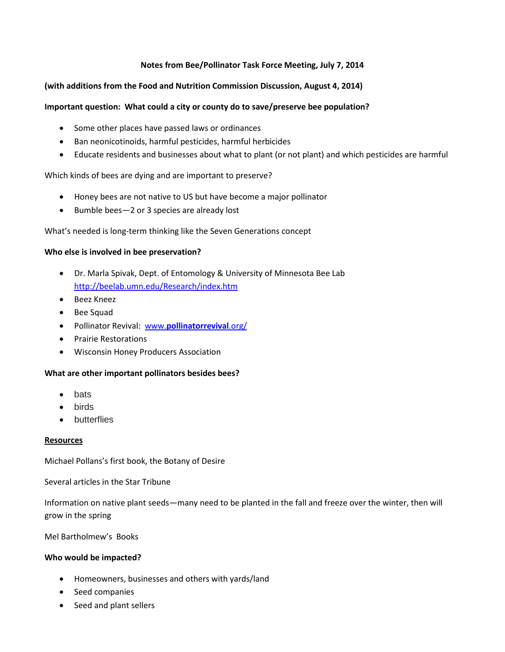# **Notes from Bee/Pollinator Task Force Meeting, July 7, 2014**

## **(with additions from the Food and Nutrition Commission Discussion, August 4, 2014)**

# **Important question: What could a city or county do to save/preserve bee population?**

- Some other places have passed laws or ordinances
- Ban neonicotinoids, harmful pesticides, harmful herbicides
- Educate residents and businesses about what to plant (or not plant) and which pesticides are harmful

#### Which kinds of bees are dying and are important to preserve?

- Honey bees are not native to US but have become a major pollinator
- Bumble bees—2 or 3 species are already lost

#### What's needed is long-term thinking like the Seven Generations concept

#### **Who else is involved in bee preservation?**

- Dr. Marla Spivak, Dept. of Entomology & University of Minnesota Bee Lab <http://beelab.umn.edu/Research/index.htm>
- Beez Kneez
- Bee Squad
- Pollinator Revival: www.**[pollinatorrevival](http://www.pollinatorrevival.org/)**.org/
- Prairie Restorations
- Wisconsin Honey Producers Association

#### **What are other important pollinators besides bees?**

- bats
- birds
- **butterflies**

#### **Resources**

Michael Pollans's first book, the Botany of Desire

Several articles in the Star Tribune

Information on native plant seeds—many need to be planted in the fall and freeze over the winter, then will grow in the spring

Mel Bartholmew's Books

#### **Who would be impacted?**

- Homeowners, businesses and others with yards/land
- Seed companies
- Seed and plant sellers